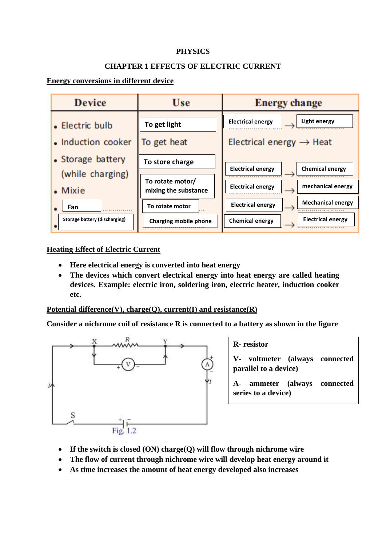### **PHYSICS**

#### **CHAPTER 1 EFFECTS OF ELECTRIC CURRENT**

### **Energy conversions in different device**



# **Heating Effect of Electric Current**

- **Here electrical energy is converted into heat energy**
- **The devices which convert electrical energy into heat energy are called heating devices. Example: electric iron, soldering iron, electric heater, induction cooker etc.**

**Potential difference(V), charge(Q), current(I) and resistance(R)**

**Consider a nichrome coil of resistance R is connected to a battery as shown in the figure** 



#### **R- resistor**

**V- voltmeter (always connected parallel to a device)**

**A- ammeter (always connected series to a device)**

- **If the switch is closed (ON) charge(Q) will flow through nichrome wire**
- **The flow of current through nichrome wire will develop heat energy around it**
- **As time increases the amount of heat energy developed also increases**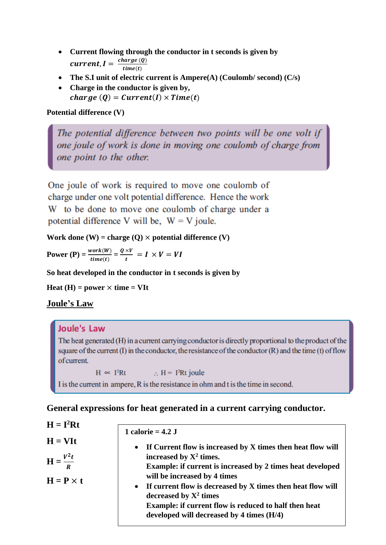- **Current flowing through the conductor in t seconds is given by**  current,  $I = \frac{charge(Q)}{time(Q)}$  $time(t)$
- **The S.I unit of electric current is Ampere(A) (Coulomb/ second) (C/s)**
- **Charge in the conductor is given by,**  *charge* (*Q*) = *Current*(*I*)  $\times$  *Time*(*t*)

# **Potential difference (V)**

The potential difference between two points will be one volt if one joule of work is done in moving one coulomb of charge from one point to the other.

One joule of work is required to move one coulomb of charge under one volt potential difference. Hence the work W to be done to move one coulomb of charge under a potential difference V will be,  $W = V$  joule.

**Work done**  $(W) = \text{charge}(O) \times \text{potential difference}(V)$ 

**Power** (P) =  $\frac{work(W)}{time(t)} = \frac{Q \times V}{t}$  $\frac{\lambda V}{t} = I \times V = VI$ 

**So heat developed in the conductor in t seconds is given by** 

**Heat** (**H**) = power  $\times$  **time** = VIt

# **Joule's Law**

# **Joule's Law**

The heat generated (H) in a current carrying conductor is directly proportional to the product of the square of the current  $(I)$  in the conductor, the resistance of the conductor  $(R)$  and the time  $(t)$  of flow of current.

 $H \propto I^2 Rt$  :  $H = I^2 Rt$  joule

I is the current in ampere, R is the resistance in ohm and t is the time in second.

# **General expressions for heat generated in a current carrying conductor.**

| $H = I2Rt$                                  |                                                                                                                                                                                                                                                                                                                        |
|---------------------------------------------|------------------------------------------------------------------------------------------------------------------------------------------------------------------------------------------------------------------------------------------------------------------------------------------------------------------------|
|                                             | 1 calorie = $4.2$ J                                                                                                                                                                                                                                                                                                    |
| $H = VIt$<br>$\mathbf{H} = \frac{V^2 t}{R}$ | If Current flow is increased by X times then heat flow will<br>$\bullet$<br>increased by $X^2$ times.                                                                                                                                                                                                                  |
| $H = P \times t$                            | <b>Example: if current is increased by 2 times heat developed</b><br>will be increased by 4 times<br>If current flow is decreased by X times then heat flow will<br>$\bullet$<br>decreased by $X^2$ times<br><b>Example: if current flow is reduced to half then heat</b><br>developed will decreased by 4 times (H/4) |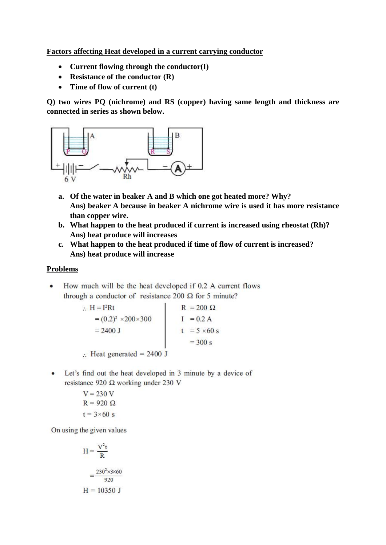**Factors affecting Heat developed in a current carrying conductor** 

- **Current flowing through the conductor(I)**
- **Resistance of the conductor (R)**
- **Time of flow of current (t)**

**Q) two wires PQ (nichrome) and RS (copper) having same length and thickness are connected in series as shown below.**



- **a. Of the water in beaker A and B which one got heated more? Why? Ans) beaker A because in beaker A nichrome wire is used it has more resistance than copper wire.**
- **b. What happen to the heat produced if current is increased using rheostat (Rh)? Ans) heat produce will increases**
- **c. What happen to the heat produced if time of flow of current is increased? Ans) heat produce will increase**

#### **Problems**

How much will be the heat developed if 0.2 A current flows  $\bullet$ through a conductor of resistance 200  $\Omega$  for 5 minute?

∴ H = I<sup>2</sup>Rt  
\n= (0.2)<sup>2</sup> ×200×300  
\n= 2400 J  
\n∴ Heat generated = 2400 J  
\n
$$
I = 0.2 A\nt = 5 ×60 s\n= 300 s
$$

• Let's find out the heat developed in 3 minute by a device of resistance 920  $\Omega$  working under 230 V

$$
V = 230 V
$$
  
R = 920  $\Omega$   
t = 3×60 s

On using the given values

$$
H = \frac{V^2t}{R}
$$

$$
= \frac{230^2 \times 3 \times 60}{920}
$$

$$
H = 10350 J
$$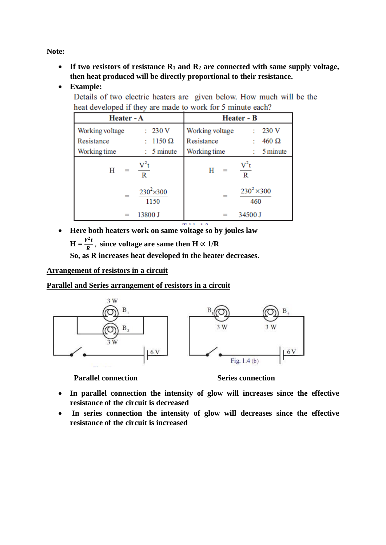**Note:**

- **If two resistors of resistance R<sup>1</sup> and R<sup>2</sup> are connected with same supply voltage, then heat produced will be directly proportional to their resistance.**
- **Example:**

Details of two electric heaters are given below. How much will be the heat developed if they are made to work for 5 minute each?

| Heater - A      |                            | <b>Heater - B</b> |                           |  |
|-----------------|----------------------------|-------------------|---------------------------|--|
| Working voltage | 230 V                      | Working voltage   | 230 V                     |  |
| Resistance      | $1150 \Omega$              | Resistance        | $460 \Omega$              |  |
| Working time    | 5 minute                   | Working time      | 5 minute                  |  |
| Н<br>$=$        | $V^2t$<br>R                | Н<br>$=$          | $V^2t$<br>$\mathbb R$     |  |
| $=$             | $230^2 \times 300$<br>1150 | $=$               | $230^2 \times 300$<br>460 |  |
| $=$             | 13800 J                    | $=$               | 34500 J                   |  |

• **Here both heaters work on same voltage so by joules law** 

 $H = \frac{V^2 t}{R}$  $\frac{R}{R}$ , since voltage are same then  $H \propto 1/R$ 

**So, as R increases heat developed in the heater decreases.**

### **Arrangement of resistors in a circuit**

**Parallel and Series arrangement of resistors in a circuit** 



**Parallel connection Series connection** 

- **In parallel connection the intensity of glow will increases since the effective resistance of the circuit is decreased**
- **In series connection the intensity of glow will decreases since the effective resistance of the circuit is increased**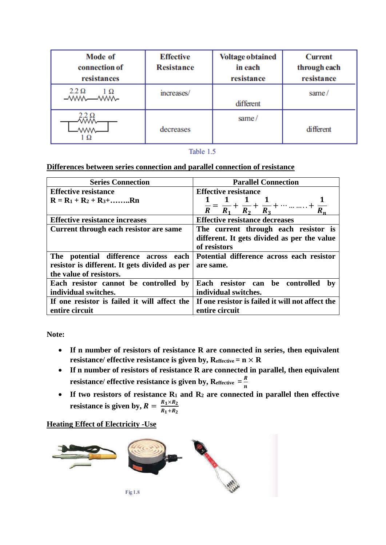| Mode of<br>connection of<br>resistances | <b>Effective</b><br><b>Resistance</b> | <b>Voltage obtained</b><br>in each<br>resistance | <b>Current</b><br>through each<br>resistance |
|-----------------------------------------|---------------------------------------|--------------------------------------------------|----------------------------------------------|
| $2.2 \Omega$<br>$1 \Omega$<br>$-WMM$    | increases/                            | different                                        | same/                                        |
|                                         | decreases                             | same/                                            | <b>different</b>                             |

Table 1.5

#### **Differences between series connection and parallel connection of resistance**

| <b>Series Connection</b>                      | <b>Parallel Connection</b>                                                                            |  |  |
|-----------------------------------------------|-------------------------------------------------------------------------------------------------------|--|--|
| <b>Effective resistance</b>                   | <b>Effective resistance</b>                                                                           |  |  |
| $R = R_1 + R_2 + R_3 + \ldots R_n$            |                                                                                                       |  |  |
|                                               | $\frac{1}{R} = \frac{1}{R_1} + \frac{1}{R_2} + \frac{1}{R_3} + \cdots \ldots \ldots +$<br>$R_2$ $R_3$ |  |  |
| <b>Effective resistance increases</b>         | <b>Effective resistance decreases</b>                                                                 |  |  |
| Current through each resistor are same        | The current through each resistor is                                                                  |  |  |
|                                               | different. It gets divided as per the value                                                           |  |  |
|                                               | of resistors                                                                                          |  |  |
| The potential difference across each          | Potential difference across each resistor                                                             |  |  |
| resistor is different. It gets divided as per | are same.                                                                                             |  |  |
| the value of resistors.                       |                                                                                                       |  |  |
| Each resistor cannot be controlled by         | Each resistor can be controlled<br>bv                                                                 |  |  |
| individual switches.                          | individual switches.                                                                                  |  |  |
| If one resistor is failed it will affect the  | If one resistor is failed it will not affect the                                                      |  |  |
| entire circuit                                | entire circuit                                                                                        |  |  |

**Note:**

- **If n number of resistors of resistance R are connected in series, then equivalent resistance/ effective resistance is given by,**  $R_{effective} = n \times R$
- **If n number of resistors of resistance R are connected in parallel, then equivalent resistance/ effective resistance is given by,**  $R_{effective} = \frac{R}{r}$  $\boldsymbol{n}$
- **If two resistors of resistance R<sup>1</sup> and R<sup>2</sup> are connected in parallel then effective resistance is given by,**  $R = \frac{R_1 \times R_2}{R_1 \times R_2}$  $R_1+R_2$

#### **Heating Effect of Electricity -Use**

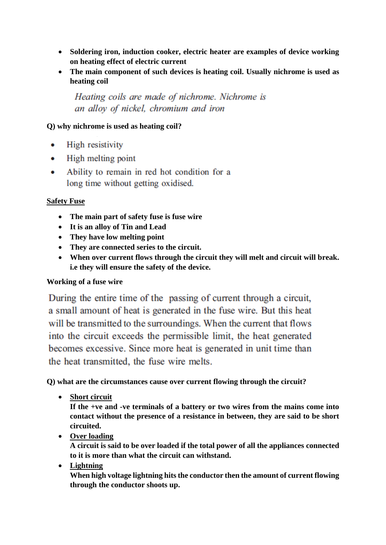- **Soldering iron, induction cooker, electric heater are examples of device working on heating effect of electric current**
- **The main component of such devices is heating coil. Usually nichrome is used as heating coil**

Heating coils are made of nichrome. Nichrome is an alloy of nickel, chromium and iron

### **Q) why nichrome is used as heating coil?**

- High resistivity  $\bullet$
- High melting point  $\bullet$
- Ability to remain in red hot condition for a  $\bullet$ long time without getting oxidised.

### **Safety Fuse**

- **The main part of safety fuse is fuse wire**
- **It is an alloy of Tin and Lead**
- **They have low melting point**
- **They are connected series to the circuit.**
- **When over current flows through the circuit they will melt and circuit will break. i.e they will ensure the safety of the device.**

#### **Working of a fuse wire**

During the entire time of the passing of current through a circuit, a small amount of heat is generated in the fuse wire. But this heat will be transmitted to the surroundings. When the current that flows into the circuit exceeds the permissible limit, the heat generated becomes excessive. Since more heat is generated in unit time than the heat transmitted, the fuse wire melts.

**Q) what are the circumstances cause over current flowing through the circuit?**

• **Short circuit**

**If the +ve and -ve terminals of a battery or two wires from the mains come into contact without the presence of a resistance in between, they are said to be short circuited.**

• **Over loading** 

**A circuit is said to be over loaded if the total power of all the appliances connected to it is more than what the circuit can withstand.**

• **Lightning** 

**When high voltage lightning hits the conductor then the amount of current flowing through the conductor shoots up.**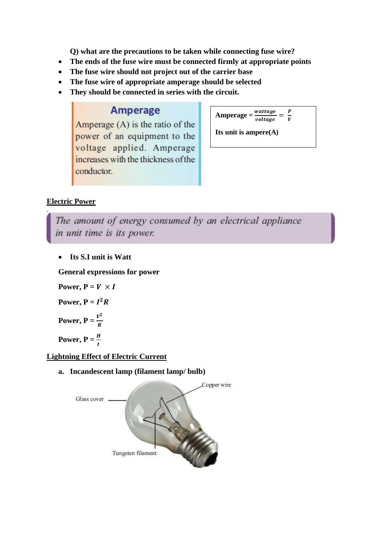**Q) what are the precautions to be taken while connecting fuse wire?**

- **The ends of the fuse wire must be connected firmly at appropriate points**
- **The fuse wire should not project out of the carrier base**
- **The fuse wire of appropriate amperage should be selected**
- **They should be connected in series with the circuit.**

# **Amperage**

Amperage  $(A)$  is the ratio of the power of an equipment to the voltage applied. Amperage increases with the thickness of the conductor.

 $Amperage = \frac{wattage}{voltage} = \frac{P}{V}$ V

**Its unit is ampere(A)**

# **Electric Power**

The amount of energy consumed by an electrical appliance in unit time is its power.

• **Its S.I unit is Watt**

**General expressions for power** 

Power,  $P = V \times I$ **Power,**  $P = I^2 R$ 

**Power, P** =  $\frac{V^2}{R}$ R

**Power, P** =  $\frac{H}{t}$ 

# **Lightning Effect of Electric Current**

**a. Incandescent lamp (filament lamp/ bulb)**

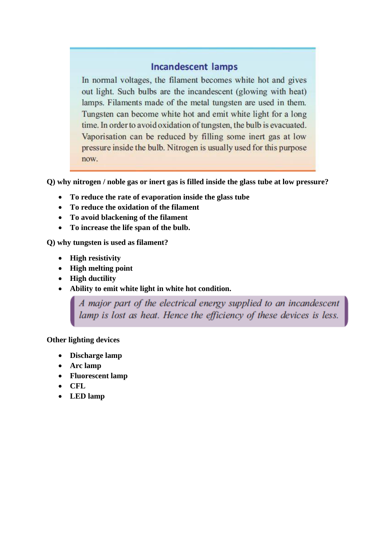# **Incandescent lamps**

In normal voltages, the filament becomes white hot and gives out light. Such bulbs are the incandescent (glowing with heat) lamps. Filaments made of the metal tungsten are used in them. Tungsten can become white hot and emit white light for a long time. In order to avoid oxidation of tungsten, the bulb is evacuated. Vaporisation can be reduced by filling some inert gas at low pressure inside the bulb. Nitrogen is usually used for this purpose now.

**Q) why nitrogen / noble gas or inert gas is filled inside the glass tube at low pressure?**

- **To reduce the rate of evaporation inside the glass tube**
- **To reduce the oxidation of the filament**
- **To avoid blackening of the filament**
- **To increase the life span of the bulb.**

**Q) why tungsten is used as filament?**

- **High resistivity**
- **High melting point**
- **High ductility**
- **Ability to emit white light in white hot condition.**

A major part of the electrical energy supplied to an incandescent lamp is lost as heat. Hence the efficiency of these devices is less.

#### **Other lighting devices**

- **Discharge lamp**
- **Arc lamp**
- **Fluorescent lamp**
- **CFL**
- **LED lamp**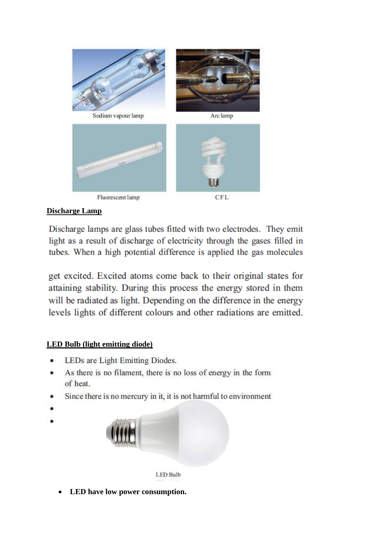

# **Discharge Lamp**

Discharge lamps are glass tubes fitted with two electrodes. They emit light as a result of discharge of electricity through the gases filled in tubes. When a high potential difference is applied the gas molecules

get excited. Excited atoms come back to their original states for attaining stability. During this process the energy stored in them will be radiated as light. Depending on the difference in the energy levels lights of different colours and other radiations are emitted.

# **LED Bulb (light emitting diode)**

- LEDs are Light Emitting Diodes.
- As there is no filament, there is no loss of energy in the form of heat.
- Since there is no mercury in it, it is not harmful to environment
- 



**LED Bulb** 

• **LED have low power consumption.**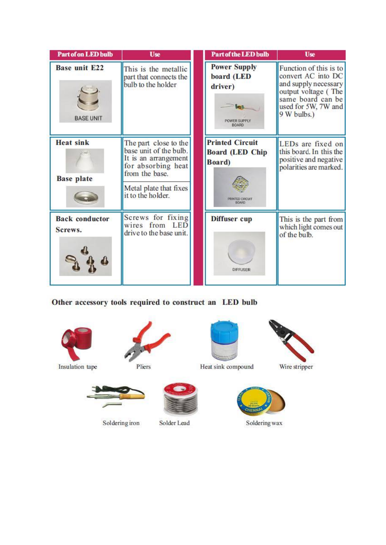| <b>Part of on LED bulb</b>               | <b>Use</b>                                                                                                                                                     | <b>Part of the LED bulb</b>                                                           | <b>Use</b>                                                                                                                                             |
|------------------------------------------|----------------------------------------------------------------------------------------------------------------------------------------------------------------|---------------------------------------------------------------------------------------|--------------------------------------------------------------------------------------------------------------------------------------------------------|
| <b>Base unit E22</b><br><b>BASE UNIT</b> | This is the metallic<br>part that connects the<br>bulb to the holder                                                                                           | <b>Power Supply</b><br>board (LED<br>driver)<br>POWER SUPPLY<br>BOARD                 | Function of this is to<br>convert AC into DC<br>and supply necessary<br>output voltage (The<br>same board can be<br>used for 5W, 7W and<br>9 W bulbs.) |
| <b>Heat sink</b><br><b>Base plate</b>    | The part close to the<br>base unit of the bulb.<br>It is an arrangement<br>for absorbing heat<br>from the base.<br>Metal plate that fixes<br>it to the holder. | <b>Printed Circuit</b><br><b>Board (LED Chip</b><br><b>Board</b> )<br>PRINTED CIRCUIT | LEDs are fixed on<br>this board. In this the<br>positive and negative<br>polarities are marked.                                                        |
| <b>Back</b> conductor<br>Screws.         | Screws for fixing<br>wires from LED<br>drive to the base unit.                                                                                                 | Diffuser cup<br><b>DIFFUSER</b>                                                       | This is the part from<br>which light comes out<br>of the bulb.                                                                                         |

# Other accessory tools required to construct an LED bulb





Insulation tape

Pliers







Soldering wax

Soldering iron

Solder Lead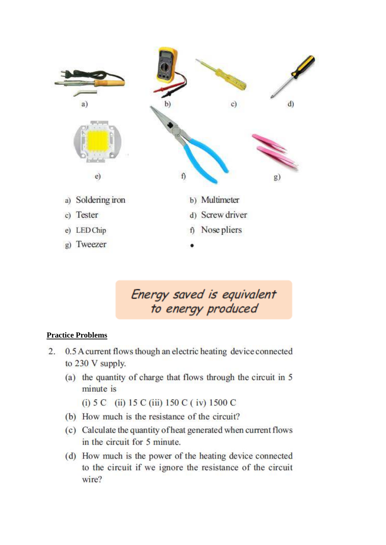

Energy saved is equivalent to energy produced

#### **Practice Problems**

- 2. 0.5 A current flows though an electric heating device connected to 230 V supply.
	- (a) the quantity of charge that flows through the circuit in 5 minute is

(i)  $5 \text{ C}$  (ii)  $15 \text{ C}$  (iii)  $150 \text{ C}$  (iv)  $1500 \text{ C}$ 

- (b) How much is the resistance of the circuit?
- (c) Calculate the quantity of heat generated when current flows in the circuit for 5 minute.
- (d) How much is the power of the heating device connected to the circuit if we ignore the resistance of the circuit wire?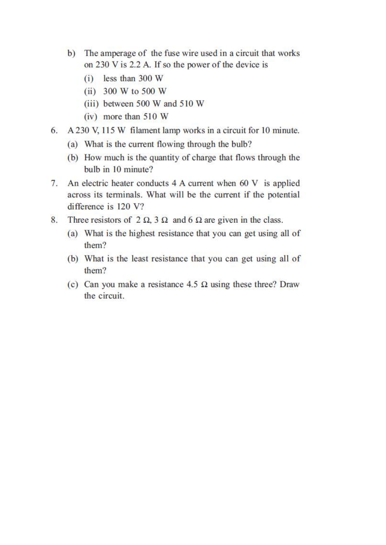- b) The amperage of the fuse wire used in a circuit that works on 230 V is 2.2 A. If so the power of the device is
	- $(i)$  less than 300 W
	- (ii)  $300 W$  to  $500 W$
	- (iii) between 500 W and 510 W
	- $(iv)$  more than 510 W
- 6. A 230 V, 115 W filament lamp works in a circuit for 10 minute.
	- (a) What is the current flowing through the bulb?
	- (b) How much is the quantity of charge that flows through the bulb in 10 minute?
- 7. An electric heater conducts 4 A current when 60 V is applied across its terminals. What will be the current if the potential difference is 120 V?
- 8. Three resistors of  $2 \Omega$ ,  $3 \Omega$  and  $6 \Omega$  are given in the class.
	- (a) What is the highest resistance that you can get using all of them?
	- (b) What is the least resistance that you can get using all of them?
	- (c) Can you make a resistance 4.5  $\Omega$  using these three? Draw the circuit.